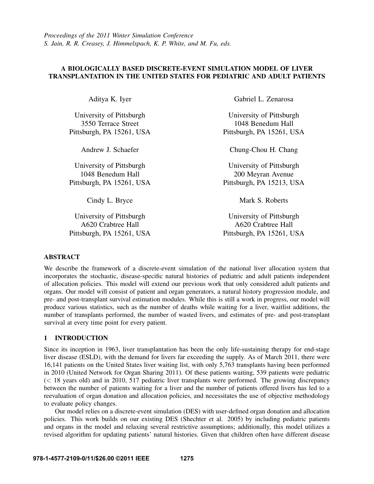# A BIOLOGICALLY BASED DISCRETE-EVENT SIMULATION MODEL OF LIVER TRANSPLANTATION IN THE UNITED STATES FOR PEDIATRIC AND ADULT PATIENTS

Aditya K. Iyer

University of Pittsburgh 3550 Terrace Street Pittsburgh, PA 15261, USA

Andrew J. Schaefer

University of Pittsburgh 1048 Benedum Hall Pittsburgh, PA 15261, USA

Cindy L. Bryce

University of Pittsburgh A620 Crabtree Hall Pittsburgh, PA 15261, USA Gabriel L. Zenarosa

University of Pittsburgh 1048 Benedum Hall Pittsburgh, PA 15261, USA

Chung-Chou H. Chang

University of Pittsburgh 200 Meyran Avenue Pittsburgh, PA 15213, USA

Mark S. Roberts

University of Pittsburgh A620 Crabtree Hall Pittsburgh, PA 15261, USA

### **ABSTRACT**

We describe the framework of a discrete-event simulation of the national liver allocation system that incorporates the stochastic, disease-specific natural histories of pediatric and adult patients independent of allocation policies. This model will extend our previous work that only considered adult patients and organs. Our model will consist of patient and organ generators, a natural history progression module, and pre- and post-transplant survival estimation modules. While this is still a work in progress, our model will produce various statistics, such as the number of deaths while waiting for a liver, waitlist additions, the number of transplants performed, the number of wasted livers, and estimates of pre- and post-transplant survival at every time point for every patient.

# 1 INTRODUCTION

Since its inception in 1963, liver transplantation has been the only life-sustaining therapy for end-stage liver disease (ESLD), with the demand for livers far exceeding the supply. As of March 2011, there were 16,141 patients on the United States liver waiting list, with only 5,763 transplants having been performed in 2010 (United Network for Organ Sharing 2011). Of these patients waiting, 539 patients were pediatric (< 18 years old) and in 2010, 517 pediatric liver transplants were performed. The growing discrepancy between the number of patients waiting for a liver and the number of patients offered livers has led to a reevaluation of organ donation and allocation policies, and necessitates the use of objective methodology to evaluate policy changes.

Our model relies on a discrete-event simulation (DES) with user-defined organ donation and allocation policies. This work builds on our existing DES (Shechter et al. 2005) by including pediatric patients and organs in the model and relaxing several restrictive assumptions; additionally, this model utilizes a revised algorithm for updating patients' natural histories. Given that children often have different disease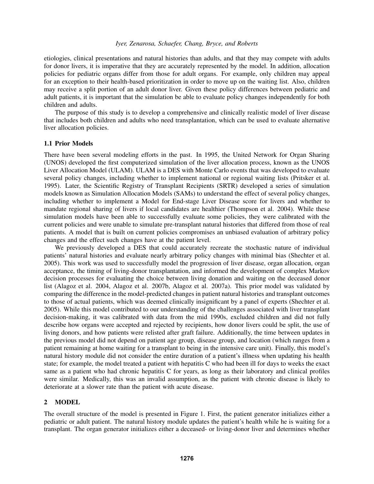etiologies, clinical presentations and natural histories than adults, and that they may compete with adults for donor livers, it is imperative that they are accurately represented by the model. In addition, allocation policies for pediatric organs differ from those for adult organs. For example, only children may appeal for an exception to their health-based prioritization in order to move up on the waiting list. Also, children may receive a split portion of an adult donor liver. Given these policy differences between pediatric and adult patients, it is important that the simulation be able to evaluate policy changes independently for both children and adults.

The purpose of this study is to develop a comprehensive and clinically realistic model of liver disease that includes both children and adults who need transplantation, which can be used to evaluate alternative liver allocation policies.

#### 1.1 Prior Models

There have been several modeling efforts in the past. In 1995, the United Network for Organ Sharing (UNOS) developed the first computerized simulation of the liver allocation process, known as the UNOS Liver Allocation Model (ULAM). ULAM is a DES with Monte Carlo events that was developed to evaluate several policy changes, including whether to implement national or regional waiting lists (Pritsker et al. 1995). Later, the Scientific Registry of Transplant Recipients (SRTR) developed a series of simulation models known as Simulation Allocation Models (SAMs) to understand the effect of several policy changes, including whether to implement a Model for End-stage Liver Disease score for livers and whether to mandate regional sharing of livers if local candidates are healthier (Thompson et al. 2004). While these simulation models have been able to successfully evaluate some policies, they were calibrated with the current policies and were unable to simulate pre-transplant natural histories that differed from those of real patients. A model that is built on current policies compromises an unbiased evaluation of arbitrary policy changes and the effect such changes have at the patient level.

We previously developed a DES that could accurately recreate the stochastic nature of individual patients' natural histories and evaluate nearly arbitrary policy changes with minimal bias (Shechter et al. 2005). This work was used to successfully model the progression of liver disease, organ allocation, organ acceptance, the timing of living-donor transplantation, and informed the development of complex Markov decision processes for evaluating the choice between living donation and waiting on the deceased donor list (Alagoz et al. 2004, Alagoz et al. 2007b, Alagoz et al. 2007a). This prior model was validated by comparing the difference in the model-predicted changes in patient natural histories and transplant outcomes to those of actual patients, which was deemed clinically insignificant by a panel of experts (Shechter et al. 2005). While this model contributed to our understanding of the challenges associated with liver transplant decision-making, it was calibrated with data from the mid 1990s, excluded children and did not fully describe how organs were accepted and rejected by recipients, how donor livers could be split, the use of living donors, and how patients were relisted after graft failure. Additionally, the time between updates in the previous model did not depend on patient age group, disease group, and location (which ranges from a patient remaining at home waiting for a transplant to being in the intensive care unit). Finally, this model's natural history module did not consider the entire duration of a patient's illness when updating his health state; for example, the model treated a patient with hepatitis C who had been ill for days to weeks the exact same as a patient who had chronic hepatitis C for years, as long as their laboratory and clinical profiles were similar. Medically, this was an invalid assumption, as the patient with chronic disease is likely to deteriorate at a slower rate than the patient with acute disease.

#### 2 MODEL

The overall structure of the model is presented in Figure 1. First, the patient generator initializes either a pediatric or adult patient. The natural history module updates the patient's health while he is waiting for a transplant. The organ generator initializes either a deceased- or living-donor liver and determines whether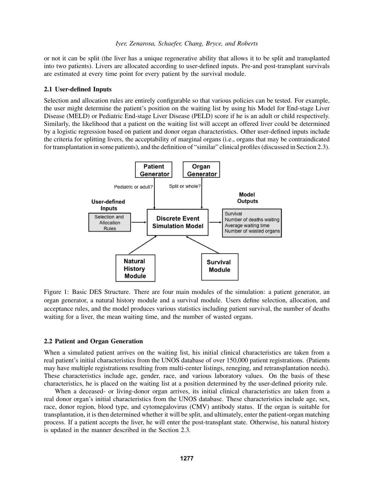or not it can be split (the liver has a unique regenerative ability that allows it to be split and transplanted into two patients). Livers are allocated according to user-defined inputs. Pre-and post-transplant survivals are estimated at every time point for every patient by the survival module.

#### 2.1 User-defined Inputs

Selection and allocation rules are entirely configurable so that various policies can be tested. For example, the user might determine the patient's position on the waiting list by using his Model for End-stage Liver Disease (MELD) or Pediatric End-stage Liver Disease (PELD) score if he is an adult or child respectively. Similarly, the likelihood that a patient on the waiting list will accept an offered liver could be determined by a logistic regression based on patient and donor organ characteristics. Other user-defined inputs include the criteria for splitting livers, the acceptability of marginal organs (i.e., organs that may be contraindicated for transplantation in some patients), and the definition of "similar" clinical profiles (discussed in Section 2.3).



Figure 1: Basic DES Structure. There are four main modules of the simulation: a patient generator, an organ generator, a natural history module and a survival module. Users define selection, allocation, and acceptance rules, and the model produces various statistics including patient survival, the number of deaths waiting for a liver, the mean waiting time, and the number of wasted organs.

#### 2.2 Patient and Organ Generation

When a simulated patient arrives on the waiting list, his initial clinical characteristics are taken from a real patient's initial characteristics from the UNOS database of over 150,000 patient registrations. (Patients may have multiple registrations resulting from multi-center listings, reneging, and retransplantation needs). These characteristics include age, gender, race, and various laboratory values. On the basis of these characteristics, he is placed on the waiting list at a position determined by the user-defined priority rule.

When a deceased- or living-donor organ arrives, its initial clinical characteristics are taken from a real donor organ's initial characteristics from the UNOS database. These characteristics include age, sex, race, donor region, blood type, and cytomegalovirus (CMV) antibody status. If the organ is suitable for transplantation, it is then determined whether it will be split, and ultimately, enter the patient-organ matching process. If a patient accepts the liver, he will enter the post-transplant state. Otherwise, his natural history is updated in the manner described in the Section 2.3.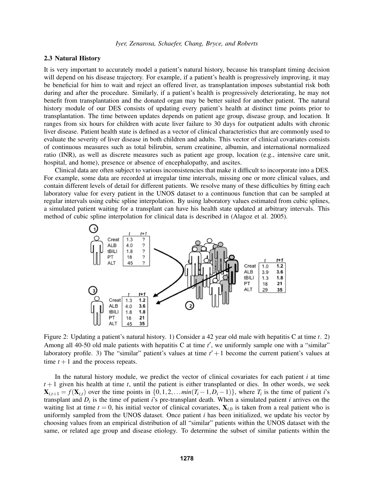#### 2.3 Natural History

It is very important to accurately model a patient's natural history, because his transplant timing decision will depend on his disease trajectory. For example, if a patient's health is progressively improving, it may be beneficial for him to wait and reject an offered liver, as transplantation imposes substantial risk both during and after the procedure. Similarly, if a patient's health is progressively deteriorating, he may not benefit from transplantation and the donated organ may be better suited for another patient. The natural history module of our DES consists of updating every patient's health at distinct time points prior to transplantation. The time between updates depends on patient age group, disease group, and location. It ranges from six hours for children with acute liver failure to 30 days for outpatient adults with chronic liver disease. Patient health state is defined as a vector of clinical characteristics that are commonly used to evaluate the severity of liver disease in both children and adults. This vector of clinical covariates consists of continuous measures such as total bilirubin, serum creatinine, albumin, and international normalized ratio (INR), as well as discrete measures such as patient age group, location (e.g., intensive care unit, hospital, and home), presence or absence of encephalopathy, and ascites.

Clinical data are often subject to various inconsistencies that make it difficult to incorporate into a DES. For example, some data are recorded at irregular time intervals, missing one or more clinical values, and contain different levels of detail for different patients. We resolve many of these difficulties by fitting each laboratory value for every patient in the UNOS dataset to a continuous function that can be sampled at regular intervals using cubic spline interpolation. By using laboratory values estimated from cubic splines, a simulated patient waiting for a transplant can have his health state updated at arbitrary intervals. This method of cubic spline interpolation for clinical data is described in (Alagoz et al. 2005).



Figure 2: Updating a patient's natural history. 1) Consider a 42 year old male with hepatitis C at time *t*. 2) Among all 40-50 old male patients with hepatitis C at time  $t'$ , we uniformly sample one with a "similar" laboratory profile. 3) The "similar" patient's values at time  $t' + 1$  become the current patient's values at time  $t + 1$  and the process repeats.

In the natural history module, we predict the vector of clinical covariates for each patient  $i$  at time  $t + 1$  given his health at time  $t$ , until the patient is either transplanted or dies. In other words, we seek  $\mathbf{X}_{i,t+1} = f(\mathbf{X}_{i,t})$  over the time points in  $\{0,1,2,\ldots min(T_i-1,D_i-1)\}$ , where  $T_i$  is the time of patient *i*'s transplant and *D<sup>i</sup>* is the time of patient *i*'s pre-transplant death. When a simulated patient *i* arrives on the waiting list at time  $t = 0$ , his initial vector of clinical covariates,  $\mathbf{X}_{i,0}$  is taken from a real patient who is uniformly sampled from the UNOS dataset. Once patient *i* has been initialized, we update his vector by choosing values from an empirical distribution of all "similar" patients within the UNOS dataset with the same, or related age group and disease etiology. To determine the subset of similar patients within the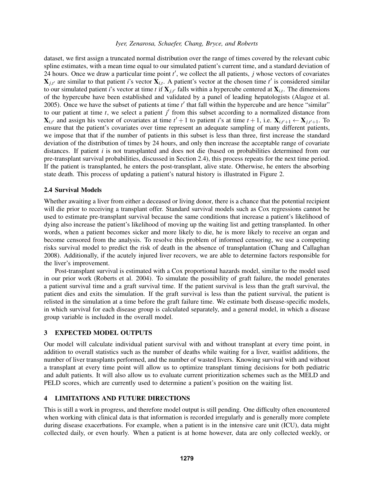dataset, we first assign a truncated normal distribution over the range of times covered by the relevant cubic spline estimates, with a mean time equal to our simulated patient's current time, and a standard deviation of  $24$  hours. Once we draw a particular time point  $t'$ , we collect the all patients,  $j$  whose vectors of covariates  $X_{j,t'}$  are similar to that patient *i*'s vector  $\overline{X}_{i,t}$ . A patient's vector at the chosen time  $t'$  is considered similar to our simulated patient *i*'s vector at time *t* if  $X_{j,t'}$  falls within a hypercube centered at  $X_{i,t}$ . The dimensions of the hypercube have been established and validated by a panel of leading hepatologists (Alagoz et al. 2005). Once we have the subset of patients at time *t'* that fall within the hypercube and are hence "similar" to our patient at time  $t$ , we select a patient  $j'$  from this subset according to a normalized distance from  $\mathbf{X}_{i,t'}$  and assign his vector of covariates at time  $t' + 1$  to patient *i*'s at time  $t + 1$ , i.e.  $\mathbf{X}_{i,t'+1} \leftarrow \mathbf{X}_{j,t'+1}$ . To ensure that the patient's covariates over time represent an adequate sampling of many different patients, we impose that that if the number of patients in this subset is less than three, first increase the standard deviation of the distribution of times by 24 hours, and only then increase the acceptable range of covariate distances. If patient *i* is not transplanted and does not die (based on probabilities determined from our pre-transplant survival probabilities, discussed in Section 2.4), this process repeats for the next time period. If the patient is transplanted, he enters the post-transplant, alive state. Otherwise, he enters the absorbing state death. This process of updating a patient's natural history is illustrated in Figure 2.

#### 2.4 Survival Models

Whether awaiting a liver from either a deceased or living donor, there is a chance that the potential recipient will die prior to receiving a transplant offer. Standard survival models such as Cox regressions cannot be used to estimate pre-transplant survival because the same conditions that increase a patient's likelihood of dying also increase the patient's likelihood of moving up the waiting list and getting transplanted. In other words, when a patient becomes sicker and more likely to die, he is more likely to receive an organ and become censored from the analysis. To resolve this problem of informed censoring, we use a competing risks survival model to predict the risk of death in the absence of transplantation (Chang and Callaghan 2008). Additionally, if the acutely injured liver recovers, we are able to determine factors responsible for the liver's improvement.

Post-transplant survival is estimated with a Cox proportional hazards model, similar to the model used in our prior work (Roberts et al. 2004). To simulate the possibility of graft failure, the model generates a patient survival time and a graft survival time. If the patient survival is less than the graft survival, the patient dies and exits the simulation. If the graft survival is less than the patient survival, the patient is relisted in the simulation at a time before the graft failure time. We estimate both disease-specific models, in which survival for each disease group is calculated separately, and a general model, in which a disease group variable is included in the overall model.

### 3 EXPECTED MODEL OUTPUTS

Our model will calculate individual patient survival with and without transplant at every time point, in addition to overall statistics such as the number of deaths while waiting for a liver, waitlist additions, the number of liver transplants performed, and the number of wasted livers. Knowing survival with and without a transplant at every time point will allow us to optimize transplant timing decisions for both pediatric and adult patients. It will also allow us to evaluate current prioritization schemes such as the MELD and PELD scores, which are currently used to determine a patient's position on the waiting list.

### 4 LIMITATIONS AND FUTURE DIRECTIONS

This is still a work in progress, and therefore model output is still pending. One difficulty often encountered when working with clinical data is that information is recorded irregularly and is generally more complete during disease exacerbations. For example, when a patient is in the intensive care unit (ICU), data might collected daily, or even hourly. When a patient is at home however, data are only collected weekly, or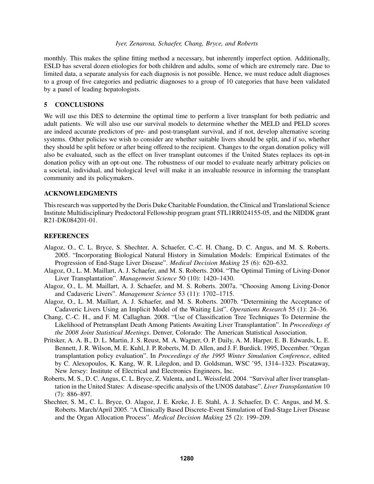monthly. This makes the spline fitting method a necessary, but inherently imperfect option. Additionally, ESLD has several dozen etiologies for both children and adults, some of which are extremely rare. Due to limited data, a separate analysis for each diagnosis is not possible. Hence, we must reduce adult diagnoses to a group of five categories and pediatric diagnoses to a group of 10 categories that have been validated by a panel of leading hepatologists.

### 5 CONCLUSIONS

We will use this DES to determine the optimal time to perform a liver transplant for both pediatric and adult patients. We will also use our survival models to determine whether the MELD and PELD scores are indeed accurate predictors of pre- and post-transplant survival, and if not, develop alternative scoring systems. Other policies we wish to consider are whether suitable livers should be split, and if so, whether they should be split before or after being offered to the recipient. Changes to the organ donation policy will also be evaluated, such as the effect on liver transplant outcomes if the United States replaces its opt-in donation policy with an opt-out one. The robustness of our model to evaluate nearly arbitrary policies on a societal, individual, and biological level will make it an invaluable resource in informing the transplant community and its policymakers.

# ACKNOWLEDGMENTS

This research was supported by the Doris Duke Charitable Foundation, the Clinical and Translational Science Institute Multidisciplinary Predoctoral Fellowship program grant 5TL1RR024155-05, and the NIDDK grant R21-DK084201-01.

# **REFERENCES**

- Alagoz, O., C. L. Bryce, S. Shechter, A. Schaefer, C.-C. H. Chang, D. C. Angus, and M. S. Roberts. 2005. "Incorporating Biological Natural History in Simulation Models: Empirical Estimates of the Progression of End-Stage Liver Disease". *Medical Decision Making* 25 (6): 620–632.
- Alagoz, O., L. M. Maillart, A. J. Schaefer, and M. S. Roberts. 2004. "The Optimal Timing of Living-Donor Liver Transplantation". *Management Science* 50 (10): 1420–1430.
- Alagoz, O., L. M. Maillart, A. J. Schaefer, and M. S. Roberts. 2007a. "Choosing Among Living-Donor and Cadaveric Livers". *Management Science* 53 (11): 1702–1715.
- Alagoz, O., L. M. Maillart, A. J. Schaefer, and M. S. Roberts. 2007b. "Determining the Acceptance of Cadaveric Livers Using an Implicit Model of the Waiting List". *Operations Research* 55 (1): 24–36.
- Chang, C.-C. H., and F. M. Callaghan. 2008. "Use of Classification Tree Techniques To Determine the Likelihood of Pretransplant Death Among Patients Awaiting Liver Transplantation". In *Proceedings of the 2008 Joint Statistical Meetings*. Denver, Colorado: The American Statistical Association.
- Pritsker, A. A. B., D. L. Martin, J. S. Reust, M. A. Wagner, O. P. Daily, A. M. Harper, E. B. Edwards, L. E. Bennett, J. R. Wilson, M. E. Kuhl, J. P. Roberts, M. D. Allen, and J. F. Burdick. 1995, December. "Organ transplantation policy evaluation". In *Proceedings of the 1995 Winter Simulation Conference*, edited by C. Alexopoulos, K. Kang, W. R. Lilegdon, and D. Goldsman, WSC '95, 1314–1323. Piscataway, New Jersey: Institute of Electrical and Electronics Engineers, Inc.
- Roberts, M. S., D. C. Angus, C. L. Bryce, Z. Valenta, and L. Weissfeld. 2004. "Survival after liver transplantation in the United States: A disease-specific analysis of the UNOS database". *Liver Transplantation* 10 (7): 886–897.
- Shechter, S. M., C. L. Bryce, O. Alagoz, J. E. Kreke, J. E. Stahl, A. J. Schaefer, D. C. Angus, and M. S. Roberts. March/April 2005. "A Clinically Based Discrete-Event Simulation of End-Stage Liver Disease and the Organ Allocation Process". *Medical Decision Making* 25 (2): 199–209.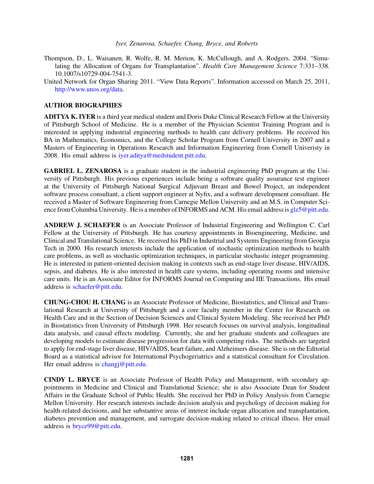- Thompson, D., L. Waisanen, R. Wolfe, R. M. Merion, K. McCullough, and A. Rodgers. 2004. "Simulating the Allocation of Organs for Transplantation". *Health Care Management Science* 7:331–338. 10.1007/s10729-004-7541-3.
- United Network for Organ Sharing 2011. "View Data Reports". Information accessed on March 25, 2011, http://www.unos.org/data.

# AUTHOR BIOGRAPHIES

ADITYA K. IYER is a third year medical student and Doris Duke Clinical Research Fellow at the University of Pittsburgh School of Medicine. He is a member of the Physician Scientist Training Program and is interested in applying industrial engineering methods to health care delivery problems. He received his BA in Mathematics, Economics, and the College Scholar Program from Cornell University in 2007 and a Masters of Engineering in Operations Research and Information Engineering from Cornell Univeristy in 2008. His email address is iyer.aditya@medstudent.pitt.edu.

GABRIEL L. ZENAROSA is a graduate student in the industrial engineering PhD program at the University of Pittsburgh. His previous experiences include being a software quality assurance test engineer at the University of Pittsburgh National Surgical Adjuvant Breast and Bowel Project, an independent software process consultant, a client support engineer at Nyfix, and a software development consultant. He received a Master of Software Engineering from Carnegie Mellon University and an M.S. in Computer Science from Columbia University. He is a member of INFORMS and ACM. His email address is glz5@pitt.edu.

ANDREW J. SCHAEFER is an Associate Professor of Industrial Engineering and Wellington C. Carl Fellow at the University of Pittsburgh. He has courtesy appointments in Bioengineering, Medicine, and Clinical and Translational Science. He received his PhD in Industrial and Systems Engineering from Georgia Tech in 2000. His research interests include the application of stochastic optimization methods to health care problems, as well as stochastic optimization techniques, in particular stochastic integer programming. He is interested in patient-oriented decision making in contexts such as end-stage liver disease, HIV/AIDS, sepsis, and diabetes. He is also interested in health care systems, including operating rooms and intensive care units. He is an Associate Editor for INFORMS Journal on Computing and IIE Transactions. His email address is schaefer@pitt.edu.

CHUNG-CHOU H. CHANG is an Associate Professor of Medicine, Biostatistics, and Clinical and Translational Research at University of Pittsburgh and a core faculty member in the Center for Research on Health Care and in the Section of Decision Sciences and Clinical System Modeling. She received her PhD in Biostatistics from University of Pittsburgh 1998. Her research focuses on survival analysis, longitudinal data analysis, and causal effects modeling. Currently, she and her graduate students and colleagues are developing models to estimate disease progression for data with competing risks. The methods are targeted to apply for end-stage liver disease, HIV/AIDS, heart failure, and Alzheimers disease. She is on the Editorial Board as a statistical advisor for International Psychogeriatrics and a statistical consultant for Circulation. Her email address is changj@pitt.edu.

CINDY L. BRYCE is an Associate Professor of Health Policy and Management, with secondary appointments in Medicine and Clinical and Translational Science; she is also Associate Dean for Student Affairs in the Graduate School of Public Health. She received her PhD in Policy Analysis from Carnegie Mellon University. Her research interests include decision analysis and psychology of decision making for health-related decisions, and her substantive areas of interest include organ allocation and transplantation, diabetes prevention and management, and surrogate decision-making related to critical illness. Her email address is bryce99@pitt.edu.